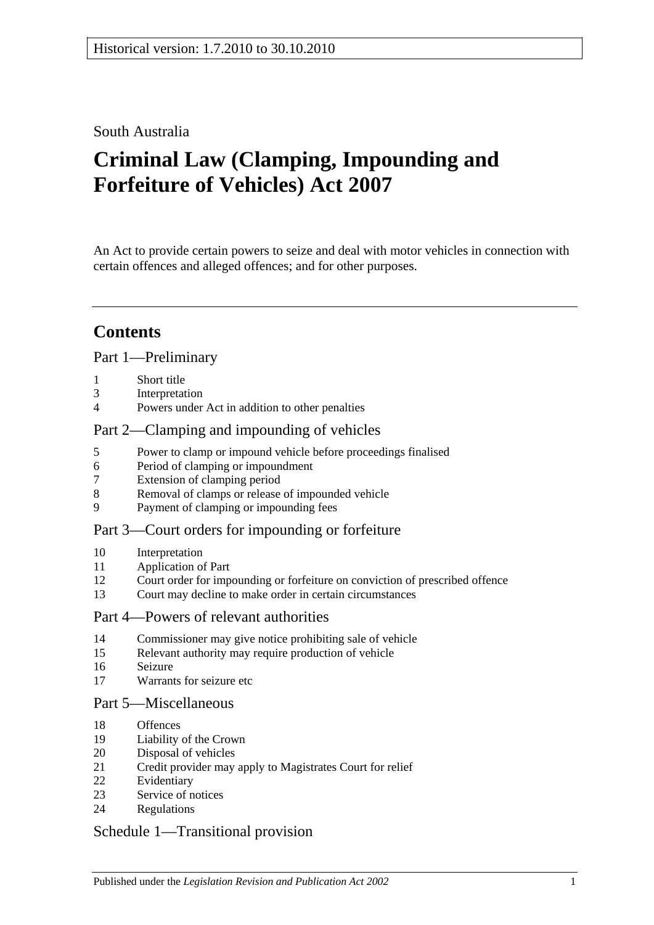### South Australia

# **Criminal Law (Clamping, Impounding and Forfeiture of Vehicles) Act 2007**

An Act to provide certain powers to seize and deal with motor vehicles in connection with certain offences and alleged offences; and for other purposes.

## **Contents**

### [Part 1—Preliminary](#page-1-0)

- [Short title](#page-1-1)
- [Interpretation](#page-1-2)
- [Powers under Act in addition to other penalties](#page-2-0)

### [Part 2—Clamping and impounding of vehicles](#page-2-1)

- [Power to clamp or impound vehicle before proceedings finalised](#page-2-2)
- [Period of clamping or impoundment](#page-3-0)
- [Extension of clamping period](#page-3-1)
- [Removal of clamps or release of impounded vehicle](#page-4-0)
- [Payment of clamping or impounding fees](#page-5-0)

### [Part 3—Court orders for impounding or forfeiture](#page-5-1)

- [Interpretation](#page-5-2)
- [Application of Part](#page-5-3)
- [Court order for impounding or forfeiture on conviction of prescribed offence](#page-6-0)
- [Court may decline to make order in certain circumstances](#page-7-0)

#### [Part 4—Powers of relevant authorities](#page-8-0)

- [Commissioner may give notice prohibiting sale of vehicle](#page-8-1)
- [Relevant authority may require production of vehicle](#page-9-0)
- [Seizure](#page-9-1)
- [Warrants for seizure etc](#page-10-0)

### [Part 5—Miscellaneous](#page-11-0)

- [Offences](#page-11-1)
- [Liability of the Crown](#page-11-2)
- [Disposal of vehicles](#page-12-0)
- [Credit provider may apply to Magistrates Court for relief](#page-13-0)
- [Evidentiary](#page-14-0)
- [Service of notices](#page-14-1)
- [Regulations](#page-15-0)

### [Schedule 1—Transitional provision](#page-15-1)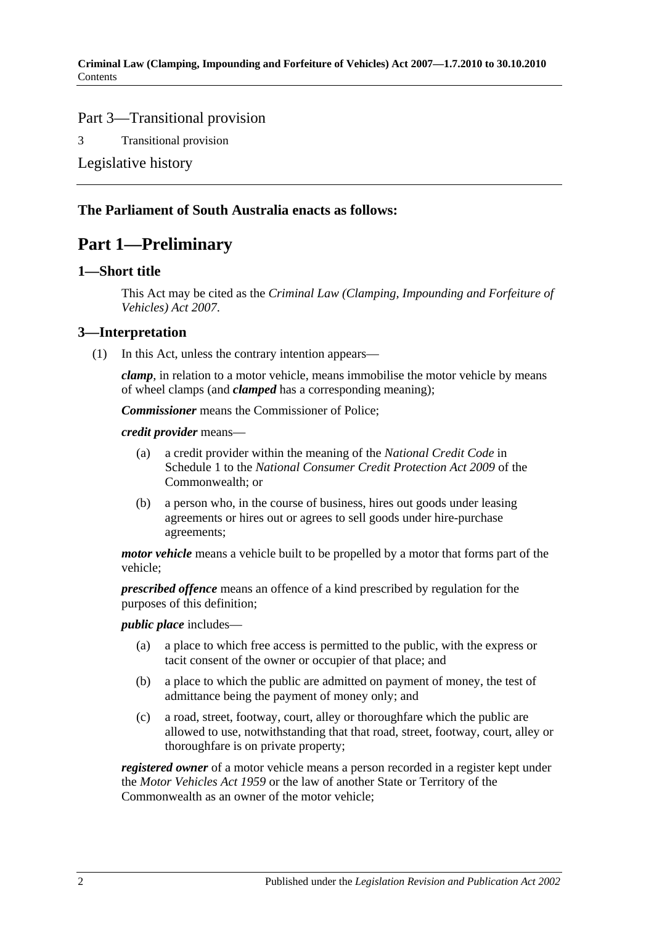### Part 3—Transitional provision

3 [Transitional provision](#page-15-2)

[Legislative history](#page-16-0)

### <span id="page-1-0"></span>**The Parliament of South Australia enacts as follows:**

### **Part 1—Preliminary**

### <span id="page-1-1"></span>**1—Short title**

This Act may be cited as the *Criminal Law (Clamping, Impounding and Forfeiture of Vehicles) Act 2007*.

### <span id="page-1-2"></span>**3—Interpretation**

(1) In this Act, unless the contrary intention appears—

*clamp*, in relation to a motor vehicle, means immobilise the motor vehicle by means of wheel clamps (and *clamped* has a corresponding meaning);

*Commissioner* means the Commissioner of Police;

*credit provider* means—

- (a) a credit provider within the meaning of the *National Credit Code* in Schedule 1 to the *National Consumer Credit Protection Act 2009* of the Commonwealth; or
- (b) a person who, in the course of business, hires out goods under leasing agreements or hires out or agrees to sell goods under hire-purchase agreements;

*motor vehicle* means a vehicle built to be propelled by a motor that forms part of the vehicle;

*prescribed offence* means an offence of a kind prescribed by regulation for the purposes of this definition;

### *public place* includes—

- (a) a place to which free access is permitted to the public, with the express or tacit consent of the owner or occupier of that place; and
- (b) a place to which the public are admitted on payment of money, the test of admittance being the payment of money only; and
- (c) a road, street, footway, court, alley or thoroughfare which the public are allowed to use, notwithstanding that that road, street, footway, court, alley or thoroughfare is on private property;

*registered owner* of a motor vehicle means a person recorded in a register kept under the *[Motor Vehicles Act](http://www.legislation.sa.gov.au/index.aspx?action=legref&type=act&legtitle=Motor%20Vehicles%20Act%201959) 1959* or the law of another State or Territory of the Commonwealth as an owner of the motor vehicle;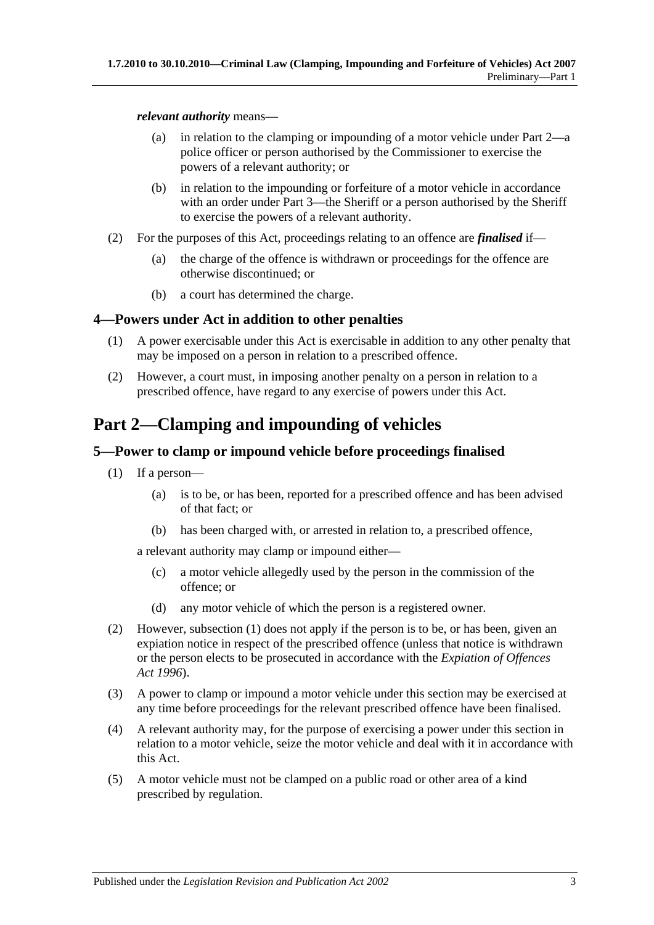#### *relevant authority* means—

- (a) in relation to the clamping or impounding of a motor vehicle under [Part 2—](#page-2-1)a police officer or person authorised by the Commissioner to exercise the powers of a relevant authority; or
- (b) in relation to the impounding or forfeiture of a motor vehicle in accordance with an order under [Part 3—](#page-5-1)the Sheriff or a person authorised by the Sheriff to exercise the powers of a relevant authority.
- (2) For the purposes of this Act, proceedings relating to an offence are *finalised* if—
	- (a) the charge of the offence is withdrawn or proceedings for the offence are otherwise discontinued; or
	- (b) a court has determined the charge.

### <span id="page-2-0"></span>**4—Powers under Act in addition to other penalties**

- (1) A power exercisable under this Act is exercisable in addition to any other penalty that may be imposed on a person in relation to a prescribed offence.
- (2) However, a court must, in imposing another penalty on a person in relation to a prescribed offence, have regard to any exercise of powers under this Act.

## <span id="page-2-1"></span>**Part 2—Clamping and impounding of vehicles**

### <span id="page-2-3"></span><span id="page-2-2"></span>**5—Power to clamp or impound vehicle before proceedings finalised**

- (1) If a person—
	- (a) is to be, or has been, reported for a prescribed offence and has been advised of that fact; or
	- (b) has been charged with, or arrested in relation to, a prescribed offence,

<span id="page-2-4"></span>a relevant authority may clamp or impound either—

- (c) a motor vehicle allegedly used by the person in the commission of the offence; or
- (d) any motor vehicle of which the person is a registered owner.
- (2) However, [subsection](#page-2-3) (1) does not apply if the person is to be, or has been, given an expiation notice in respect of the prescribed offence (unless that notice is withdrawn or the person elects to be prosecuted in accordance with the *[Expiation of Offences](http://www.legislation.sa.gov.au/index.aspx?action=legref&type=act&legtitle=Expiation%20of%20Offences%20Act%201996)  Act [1996](http://www.legislation.sa.gov.au/index.aspx?action=legref&type=act&legtitle=Expiation%20of%20Offences%20Act%201996)*).
- (3) A power to clamp or impound a motor vehicle under this section may be exercised at any time before proceedings for the relevant prescribed offence have been finalised.
- (4) A relevant authority may, for the purpose of exercising a power under this section in relation to a motor vehicle, seize the motor vehicle and deal with it in accordance with this Act.
- (5) A motor vehicle must not be clamped on a public road or other area of a kind prescribed by regulation.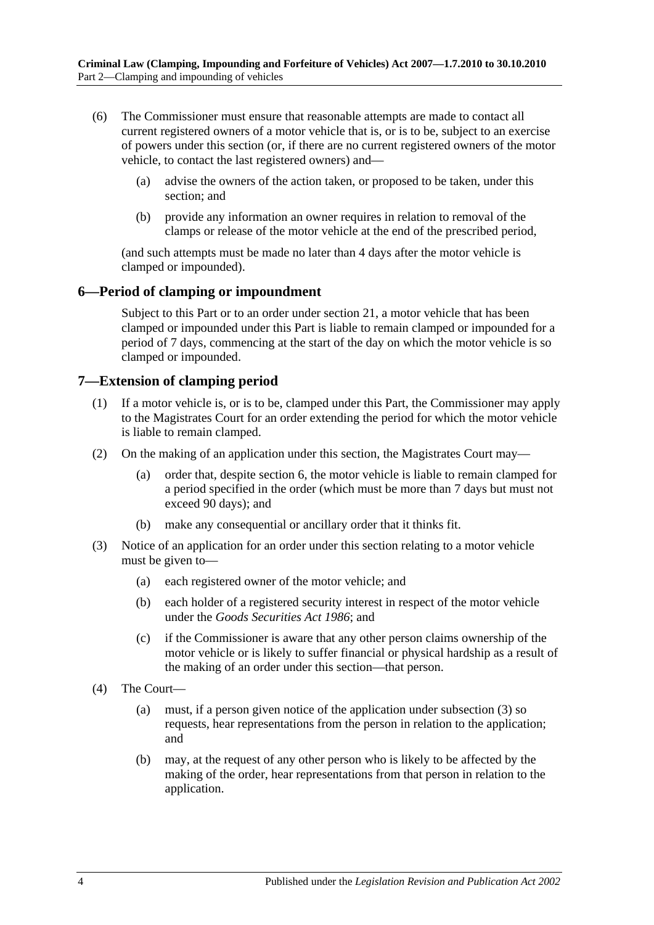- (6) The Commissioner must ensure that reasonable attempts are made to contact all current registered owners of a motor vehicle that is, or is to be, subject to an exercise of powers under this section (or, if there are no current registered owners of the motor vehicle, to contact the last registered owners) and—
	- (a) advise the owners of the action taken, or proposed to be taken, under this section; and
	- (b) provide any information an owner requires in relation to removal of the clamps or release of the motor vehicle at the end of the prescribed period,

(and such attempts must be made no later than 4 days after the motor vehicle is clamped or impounded).

### <span id="page-3-0"></span>**6—Period of clamping or impoundment**

Subject to this Part or to an order under [section](#page-13-0) 21, a motor vehicle that has been clamped or impounded under this Part is liable to remain clamped or impounded for a period of 7 days, commencing at the start of the day on which the motor vehicle is so clamped or impounded.

### <span id="page-3-1"></span>**7—Extension of clamping period**

- (1) If a motor vehicle is, or is to be, clamped under this Part, the Commissioner may apply to the Magistrates Court for an order extending the period for which the motor vehicle is liable to remain clamped.
- (2) On the making of an application under this section, the Magistrates Court may—
	- (a) order that, despite [section](#page-3-0) 6, the motor vehicle is liable to remain clamped for a period specified in the order (which must be more than 7 days but must not exceed 90 days); and
	- (b) make any consequential or ancillary order that it thinks fit.
- <span id="page-3-2"></span>(3) Notice of an application for an order under this section relating to a motor vehicle must be given to—
	- (a) each registered owner of the motor vehicle; and
	- (b) each holder of a registered security interest in respect of the motor vehicle under the *[Goods Securities Act](http://www.legislation.sa.gov.au/index.aspx?action=legref&type=act&legtitle=Goods%20Securities%20Act%201986) 1986*; and
	- (c) if the Commissioner is aware that any other person claims ownership of the motor vehicle or is likely to suffer financial or physical hardship as a result of the making of an order under this section—that person.
- (4) The Court—
	- (a) must, if a person given notice of the application under [subsection](#page-3-2) (3) so requests, hear representations from the person in relation to the application; and
	- (b) may, at the request of any other person who is likely to be affected by the making of the order, hear representations from that person in relation to the application.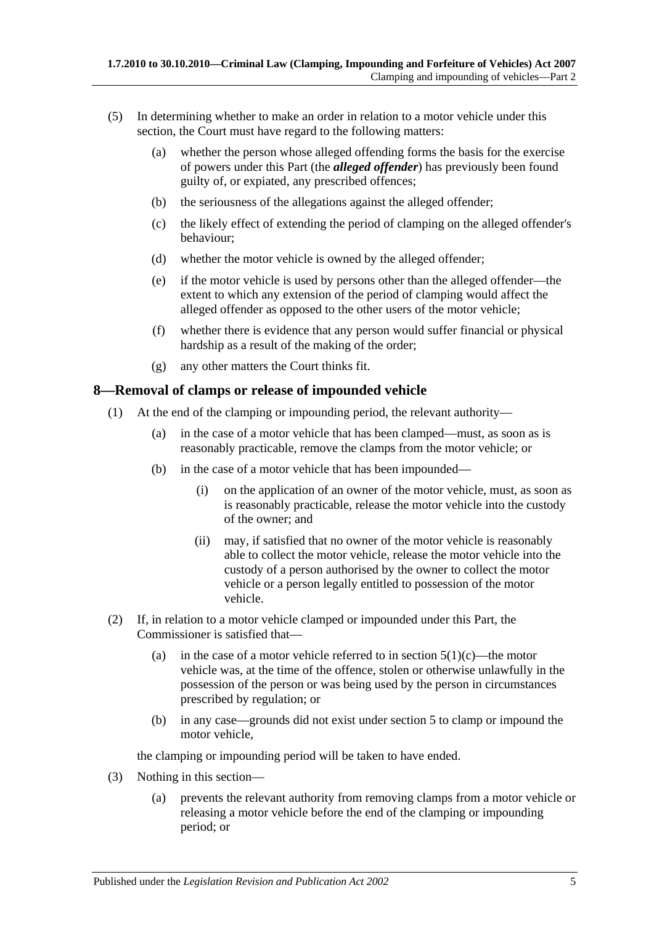- (5) In determining whether to make an order in relation to a motor vehicle under this section, the Court must have regard to the following matters:
	- (a) whether the person whose alleged offending forms the basis for the exercise of powers under this Part (the *alleged offender*) has previously been found guilty of, or expiated, any prescribed offences;
	- (b) the seriousness of the allegations against the alleged offender;
	- (c) the likely effect of extending the period of clamping on the alleged offender's behaviour;
	- (d) whether the motor vehicle is owned by the alleged offender;
	- (e) if the motor vehicle is used by persons other than the alleged offender—the extent to which any extension of the period of clamping would affect the alleged offender as opposed to the other users of the motor vehicle;
	- (f) whether there is evidence that any person would suffer financial or physical hardship as a result of the making of the order;
	- (g) any other matters the Court thinks fit.

### <span id="page-4-0"></span>**8—Removal of clamps or release of impounded vehicle**

- (1) At the end of the clamping or impounding period, the relevant authority—
	- (a) in the case of a motor vehicle that has been clamped—must, as soon as is reasonably practicable, remove the clamps from the motor vehicle; or
	- (b) in the case of a motor vehicle that has been impounded—
		- (i) on the application of an owner of the motor vehicle, must, as soon as is reasonably practicable, release the motor vehicle into the custody of the owner; and
		- (ii) may, if satisfied that no owner of the motor vehicle is reasonably able to collect the motor vehicle, release the motor vehicle into the custody of a person authorised by the owner to collect the motor vehicle or a person legally entitled to possession of the motor vehicle.
- (2) If, in relation to a motor vehicle clamped or impounded under this Part, the Commissioner is satisfied that
	- (a) in the case of a motor vehicle referred to in [section](#page-2-4)  $5(1)(c)$ —the motor vehicle was, at the time of the offence, stolen or otherwise unlawfully in the possession of the person or was being used by the person in circumstances prescribed by regulation; or
	- (b) in any case—grounds did not exist under [section](#page-2-2) 5 to clamp or impound the motor vehicle,

the clamping or impounding period will be taken to have ended.

- (3) Nothing in this section—
	- (a) prevents the relevant authority from removing clamps from a motor vehicle or releasing a motor vehicle before the end of the clamping or impounding period; or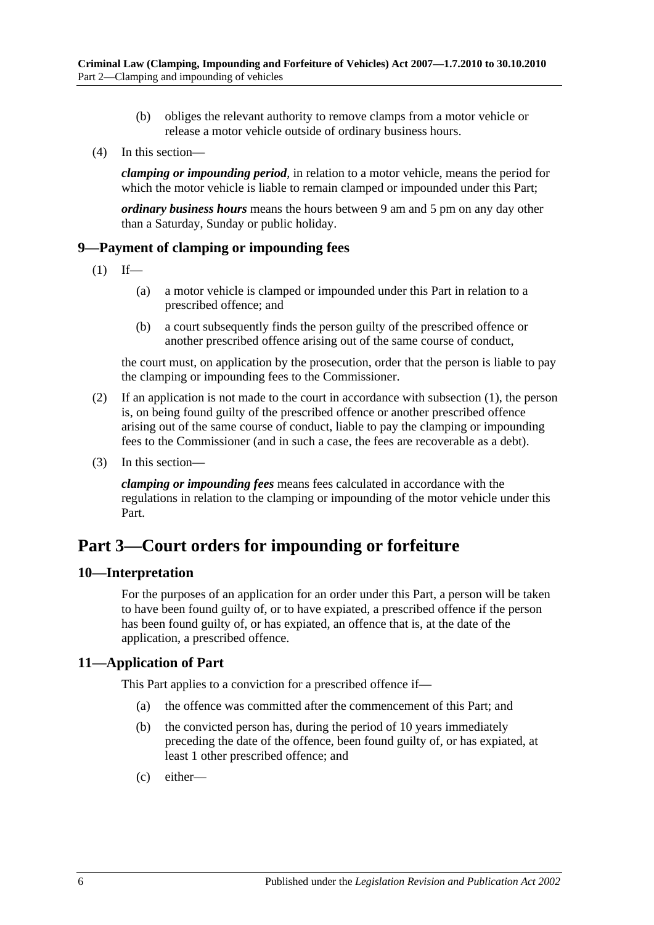- (b) obliges the relevant authority to remove clamps from a motor vehicle or release a motor vehicle outside of ordinary business hours.
- (4) In this section—

*clamping or impounding period*, in relation to a motor vehicle, means the period for which the motor vehicle is liable to remain clamped or impounded under this Part;

*ordinary business hours* means the hours between 9 am and 5 pm on any day other than a Saturday, Sunday or public holiday.

### <span id="page-5-4"></span><span id="page-5-0"></span>**9—Payment of clamping or impounding fees**

- $(1)$  If—
	- (a) a motor vehicle is clamped or impounded under this Part in relation to a prescribed offence; and
	- (b) a court subsequently finds the person guilty of the prescribed offence or another prescribed offence arising out of the same course of conduct,

the court must, on application by the prosecution, order that the person is liable to pay the clamping or impounding fees to the Commissioner.

- (2) If an application is not made to the court in accordance with [subsection](#page-5-4) (1), the person is, on being found guilty of the prescribed offence or another prescribed offence arising out of the same course of conduct, liable to pay the clamping or impounding fees to the Commissioner (and in such a case, the fees are recoverable as a debt).
- (3) In this section—

*clamping or impounding fees* means fees calculated in accordance with the regulations in relation to the clamping or impounding of the motor vehicle under this Part.

## <span id="page-5-1"></span>**Part 3—Court orders for impounding or forfeiture**

### <span id="page-5-2"></span>**10—Interpretation**

For the purposes of an application for an order under this Part, a person will be taken to have been found guilty of, or to have expiated, a prescribed offence if the person has been found guilty of, or has expiated, an offence that is, at the date of the application, a prescribed offence.

### <span id="page-5-3"></span>**11—Application of Part**

This Part applies to a conviction for a prescribed offence if—

- (a) the offence was committed after the commencement of this Part; and
- (b) the convicted person has, during the period of 10 years immediately preceding the date of the offence, been found guilty of, or has expiated, at least 1 other prescribed offence; and
- (c) either—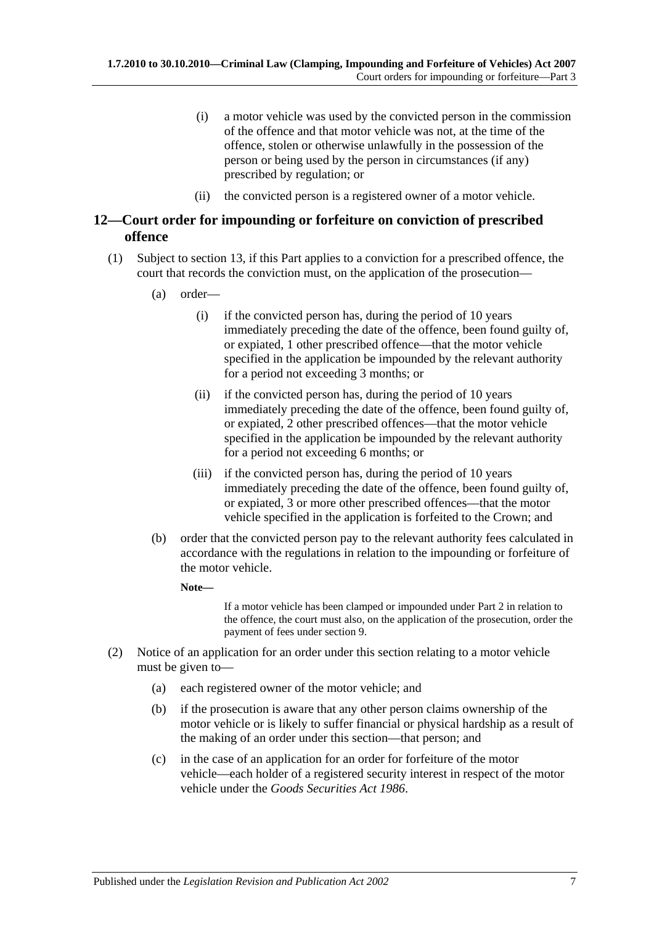- (i) a motor vehicle was used by the convicted person in the commission of the offence and that motor vehicle was not, at the time of the offence, stolen or otherwise unlawfully in the possession of the person or being used by the person in circumstances (if any) prescribed by regulation; or
- (ii) the convicted person is a registered owner of a motor vehicle.

### <span id="page-6-2"></span><span id="page-6-0"></span>**12—Court order for impounding or forfeiture on conviction of prescribed offence**

- (1) Subject to [section](#page-7-0) 13, if this Part applies to a conviction for a prescribed offence, the court that records the conviction must, on the application of the prosecution—
	- (a) order—
		- (i) if the convicted person has, during the period of 10 years immediately preceding the date of the offence, been found guilty of, or expiated, 1 other prescribed offence—that the motor vehicle specified in the application be impounded by the relevant authority for a period not exceeding 3 months; or
		- (ii) if the convicted person has, during the period of 10 years immediately preceding the date of the offence, been found guilty of, or expiated, 2 other prescribed offences—that the motor vehicle specified in the application be impounded by the relevant authority for a period not exceeding 6 months; or
		- (iii) if the convicted person has, during the period of 10 years immediately preceding the date of the offence, been found guilty of, or expiated, 3 or more other prescribed offences—that the motor vehicle specified in the application is forfeited to the Crown; and
	- (b) order that the convicted person pay to the relevant authority fees calculated in accordance with the regulations in relation to the impounding or forfeiture of the motor vehicle.
		- **Note—**

If a motor vehicle has been clamped or impounded under [Part 2](#page-2-1) in relation to the offence, the court must also, on the application of the prosecution, order the payment of fees under [section](#page-5-0) 9.

- <span id="page-6-1"></span>(2) Notice of an application for an order under this section relating to a motor vehicle must be given to—
	- (a) each registered owner of the motor vehicle; and
	- (b) if the prosecution is aware that any other person claims ownership of the motor vehicle or is likely to suffer financial or physical hardship as a result of the making of an order under this section—that person; and
	- (c) in the case of an application for an order for forfeiture of the motor vehicle—each holder of a registered security interest in respect of the motor vehicle under the *[Goods Securities Act](http://www.legislation.sa.gov.au/index.aspx?action=legref&type=act&legtitle=Goods%20Securities%20Act%201986) 1986*.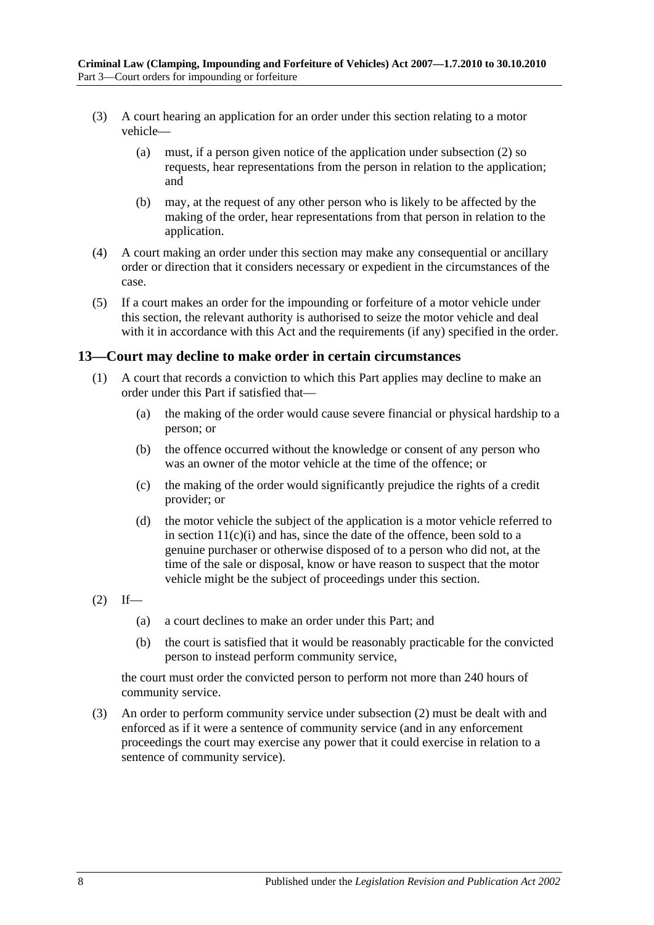- (3) A court hearing an application for an order under this section relating to a motor vehicle—
	- (a) must, if a person given notice of the application under [subsection](#page-6-1) (2) so requests, hear representations from the person in relation to the application; and
	- (b) may, at the request of any other person who is likely to be affected by the making of the order, hear representations from that person in relation to the application.
- (4) A court making an order under this section may make any consequential or ancillary order or direction that it considers necessary or expedient in the circumstances of the case.
- (5) If a court makes an order for the impounding or forfeiture of a motor vehicle under this section, the relevant authority is authorised to seize the motor vehicle and deal with it in accordance with this Act and the requirements (if any) specified in the order.

### <span id="page-7-0"></span>**13—Court may decline to make order in certain circumstances**

- (1) A court that records a conviction to which this Part applies may decline to make an order under this Part if satisfied that—
	- (a) the making of the order would cause severe financial or physical hardship to a person; or
	- (b) the offence occurred without the knowledge or consent of any person who was an owner of the motor vehicle at the time of the offence; or
	- (c) the making of the order would significantly prejudice the rights of a credit provider; or
	- (d) the motor vehicle the subject of the application is a motor vehicle referred to in section  $11(c)(i)$  and has, since the date of the offence, been sold to a genuine purchaser or otherwise disposed of to a person who did not, at the time of the sale or disposal, know or have reason to suspect that the motor vehicle might be the subject of proceedings under this section.
- <span id="page-7-1"></span> $(2)$  If—
	- (a) a court declines to make an order under this Part; and
	- (b) the court is satisfied that it would be reasonably practicable for the convicted person to instead perform community service,

the court must order the convicted person to perform not more than 240 hours of community service.

(3) An order to perform community service under [subsection](#page-7-1) (2) must be dealt with and enforced as if it were a sentence of community service (and in any enforcement proceedings the court may exercise any power that it could exercise in relation to a sentence of community service).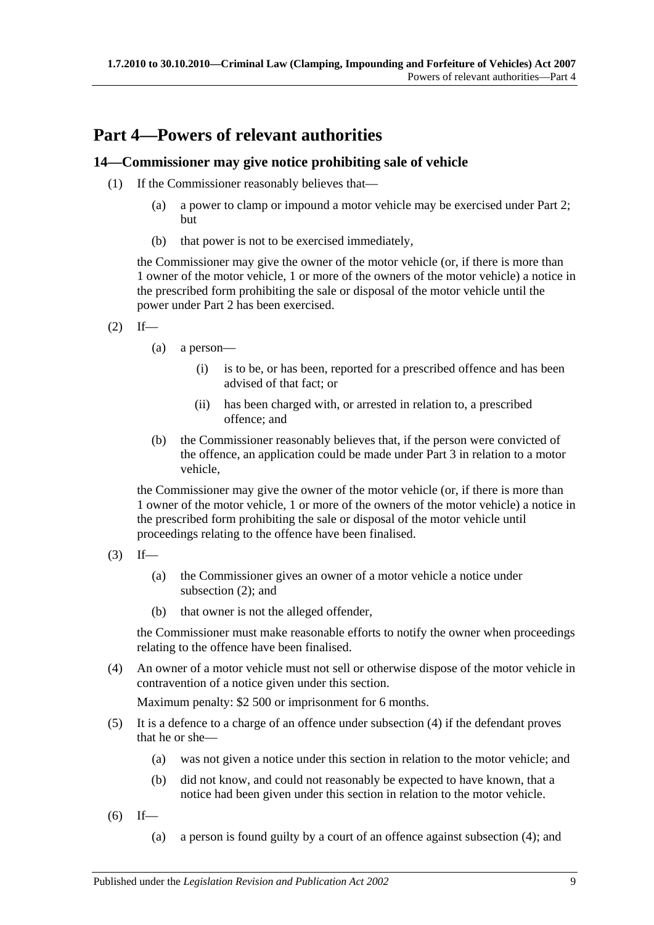## <span id="page-8-0"></span>**Part 4—Powers of relevant authorities**

### <span id="page-8-1"></span>**14—Commissioner may give notice prohibiting sale of vehicle**

- (1) If the Commissioner reasonably believes that—
	- (a) a power to clamp or impound a motor vehicle may be exercised under [Part 2;](#page-2-1) but
	- (b) that power is not to be exercised immediately,

the Commissioner may give the owner of the motor vehicle (or, if there is more than 1 owner of the motor vehicle, 1 or more of the owners of the motor vehicle) a notice in the prescribed form prohibiting the sale or disposal of the motor vehicle until the power under [Part 2](#page-2-1) has been exercised.

- <span id="page-8-2"></span> $(2)$  If—
	- (a) a person—
		- (i) is to be, or has been, reported for a prescribed offence and has been advised of that fact; or
		- (ii) has been charged with, or arrested in relation to, a prescribed offence; and
	- (b) the Commissioner reasonably believes that, if the person were convicted of the offence, an application could be made under [Part 3](#page-5-1) in relation to a motor vehicle,

the Commissioner may give the owner of the motor vehicle (or, if there is more than 1 owner of the motor vehicle, 1 or more of the owners of the motor vehicle) a notice in the prescribed form prohibiting the sale or disposal of the motor vehicle until proceedings relating to the offence have been finalised.

- $(3)$  If—
	- (a) the Commissioner gives an owner of a motor vehicle a notice under [subsection](#page-8-2) (2); and
	- (b) that owner is not the alleged offender,

the Commissioner must make reasonable efforts to notify the owner when proceedings relating to the offence have been finalised.

<span id="page-8-3"></span>(4) An owner of a motor vehicle must not sell or otherwise dispose of the motor vehicle in contravention of a notice given under this section.

Maximum penalty: \$2 500 or imprisonment for 6 months.

- (5) It is a defence to a charge of an offence under [subsection](#page-8-3) (4) if the defendant proves that he or she—
	- (a) was not given a notice under this section in relation to the motor vehicle; and
	- (b) did not know, and could not reasonably be expected to have known, that a notice had been given under this section in relation to the motor vehicle.
- <span id="page-8-4"></span> $(6)$  If—
	- (a) a person is found guilty by a court of an offence against [subsection](#page-8-3) (4); and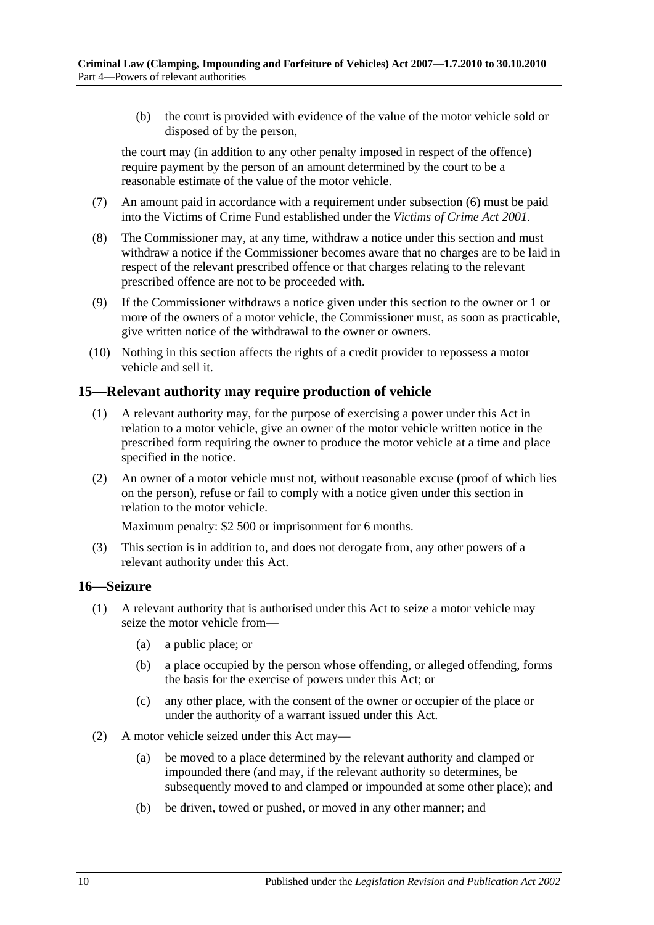(b) the court is provided with evidence of the value of the motor vehicle sold or disposed of by the person,

the court may (in addition to any other penalty imposed in respect of the offence) require payment by the person of an amount determined by the court to be a reasonable estimate of the value of the motor vehicle.

- (7) An amount paid in accordance with a requirement under [subsection](#page-8-4) (6) must be paid into the Victims of Crime Fund established under the *[Victims of Crime Act](http://www.legislation.sa.gov.au/index.aspx?action=legref&type=act&legtitle=Victims%20of%20Crime%20Act%202001) 2001*.
- (8) The Commissioner may, at any time, withdraw a notice under this section and must withdraw a notice if the Commissioner becomes aware that no charges are to be laid in respect of the relevant prescribed offence or that charges relating to the relevant prescribed offence are not to be proceeded with.
- (9) If the Commissioner withdraws a notice given under this section to the owner or 1 or more of the owners of a motor vehicle, the Commissioner must, as soon as practicable, give written notice of the withdrawal to the owner or owners.
- (10) Nothing in this section affects the rights of a credit provider to repossess a motor vehicle and sell it.

### <span id="page-9-0"></span>**15—Relevant authority may require production of vehicle**

- (1) A relevant authority may, for the purpose of exercising a power under this Act in relation to a motor vehicle, give an owner of the motor vehicle written notice in the prescribed form requiring the owner to produce the motor vehicle at a time and place specified in the notice.
- (2) An owner of a motor vehicle must not, without reasonable excuse (proof of which lies on the person), refuse or fail to comply with a notice given under this section in relation to the motor vehicle.

Maximum penalty: \$2 500 or imprisonment for 6 months.

(3) This section is in addition to, and does not derogate from, any other powers of a relevant authority under this Act.

### <span id="page-9-1"></span>**16—Seizure**

- <span id="page-9-3"></span><span id="page-9-2"></span>(1) A relevant authority that is authorised under this Act to seize a motor vehicle may seize the motor vehicle from—
	- (a) a public place; or
	- (b) a place occupied by the person whose offending, or alleged offending, forms the basis for the exercise of powers under this Act; or
	- (c) any other place, with the consent of the owner or occupier of the place or under the authority of a warrant issued under this Act.
- (2) A motor vehicle seized under this Act may—
	- (a) be moved to a place determined by the relevant authority and clamped or impounded there (and may, if the relevant authority so determines, be subsequently moved to and clamped or impounded at some other place); and
	- (b) be driven, towed or pushed, or moved in any other manner; and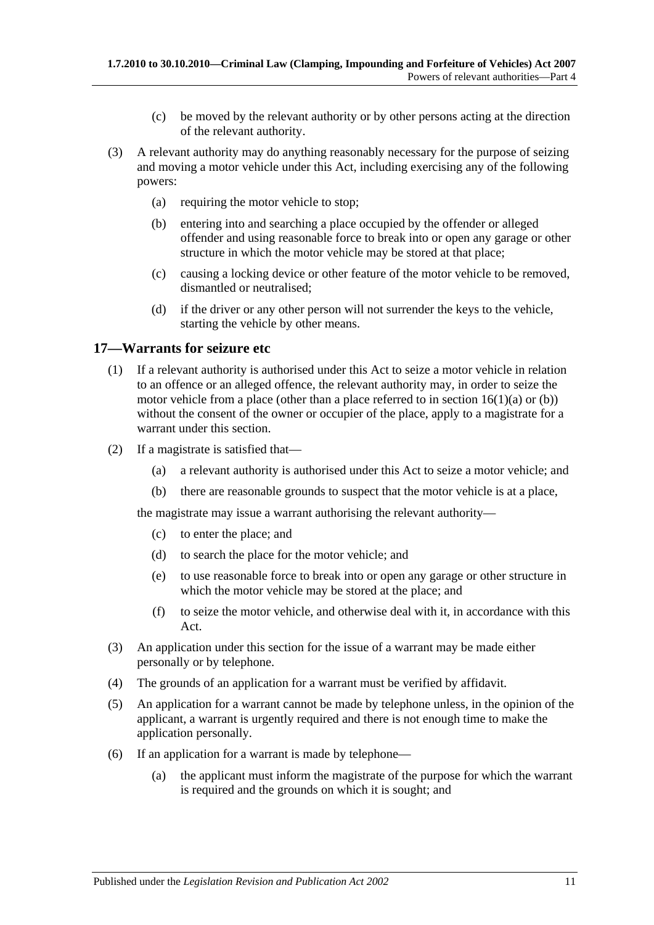- (c) be moved by the relevant authority or by other persons acting at the direction of the relevant authority.
- (3) A relevant authority may do anything reasonably necessary for the purpose of seizing and moving a motor vehicle under this Act, including exercising any of the following powers:
	- (a) requiring the motor vehicle to stop;
	- (b) entering into and searching a place occupied by the offender or alleged offender and using reasonable force to break into or open any garage or other structure in which the motor vehicle may be stored at that place;
	- (c) causing a locking device or other feature of the motor vehicle to be removed, dismantled or neutralised;
	- (d) if the driver or any other person will not surrender the keys to the vehicle, starting the vehicle by other means.

### <span id="page-10-0"></span>**17—Warrants for seizure etc**

- (1) If a relevant authority is authorised under this Act to seize a motor vehicle in relation to an offence or an alleged offence, the relevant authority may, in order to seize the motor vehicle from a place (other than a place referred to in section  $16(1)(a)$  or [\(b\)\)](#page-9-3) without the consent of the owner or occupier of the place, apply to a magistrate for a warrant under this section.
- (2) If a magistrate is satisfied that—
	- (a) a relevant authority is authorised under this Act to seize a motor vehicle; and
	- (b) there are reasonable grounds to suspect that the motor vehicle is at a place,

the magistrate may issue a warrant authorising the relevant authority—

- (c) to enter the place; and
- (d) to search the place for the motor vehicle; and
- (e) to use reasonable force to break into or open any garage or other structure in which the motor vehicle may be stored at the place; and
- (f) to seize the motor vehicle, and otherwise deal with it, in accordance with this Act.
- (3) An application under this section for the issue of a warrant may be made either personally or by telephone.
- (4) The grounds of an application for a warrant must be verified by affidavit.
- (5) An application for a warrant cannot be made by telephone unless, in the opinion of the applicant, a warrant is urgently required and there is not enough time to make the application personally.
- (6) If an application for a warrant is made by telephone—
	- (a) the applicant must inform the magistrate of the purpose for which the warrant is required and the grounds on which it is sought; and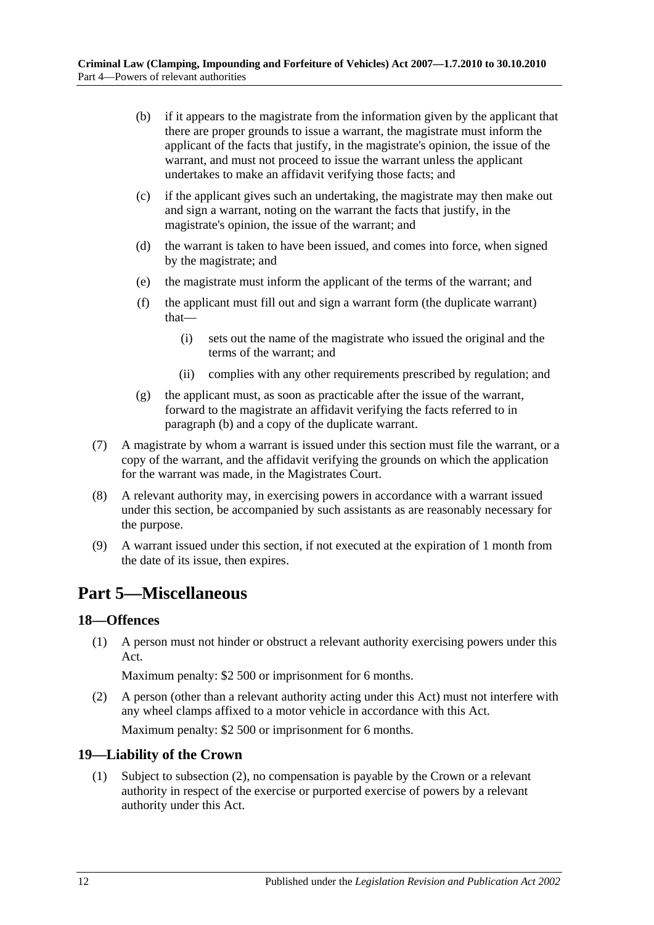- <span id="page-11-3"></span>(b) if it appears to the magistrate from the information given by the applicant that there are proper grounds to issue a warrant, the magistrate must inform the applicant of the facts that justify, in the magistrate's opinion, the issue of the warrant, and must not proceed to issue the warrant unless the applicant undertakes to make an affidavit verifying those facts; and
- (c) if the applicant gives such an undertaking, the magistrate may then make out and sign a warrant, noting on the warrant the facts that justify, in the magistrate's opinion, the issue of the warrant; and
- (d) the warrant is taken to have been issued, and comes into force, when signed by the magistrate; and
- (e) the magistrate must inform the applicant of the terms of the warrant; and
- (f) the applicant must fill out and sign a warrant form (the duplicate warrant) that—
	- (i) sets out the name of the magistrate who issued the original and the terms of the warrant; and
	- (ii) complies with any other requirements prescribed by regulation; and
- (g) the applicant must, as soon as practicable after the issue of the warrant, forward to the magistrate an affidavit verifying the facts referred to in [paragraph](#page-11-3) (b) and a copy of the duplicate warrant.
- (7) A magistrate by whom a warrant is issued under this section must file the warrant, or a copy of the warrant, and the affidavit verifying the grounds on which the application for the warrant was made, in the Magistrates Court.
- (8) A relevant authority may, in exercising powers in accordance with a warrant issued under this section, be accompanied by such assistants as are reasonably necessary for the purpose.
- (9) A warrant issued under this section, if not executed at the expiration of 1 month from the date of its issue, then expires.

## <span id="page-11-0"></span>**Part 5—Miscellaneous**

### <span id="page-11-1"></span>**18—Offences**

(1) A person must not hinder or obstruct a relevant authority exercising powers under this Act.

Maximum penalty: \$2 500 or imprisonment for 6 months.

(2) A person (other than a relevant authority acting under this Act) must not interfere with any wheel clamps affixed to a motor vehicle in accordance with this Act.

Maximum penalty: \$2 500 or imprisonment for 6 months.

### <span id="page-11-2"></span>**19—Liability of the Crown**

(1) Subject to [subsection](#page-12-1) (2), no compensation is payable by the Crown or a relevant authority in respect of the exercise or purported exercise of powers by a relevant authority under this Act.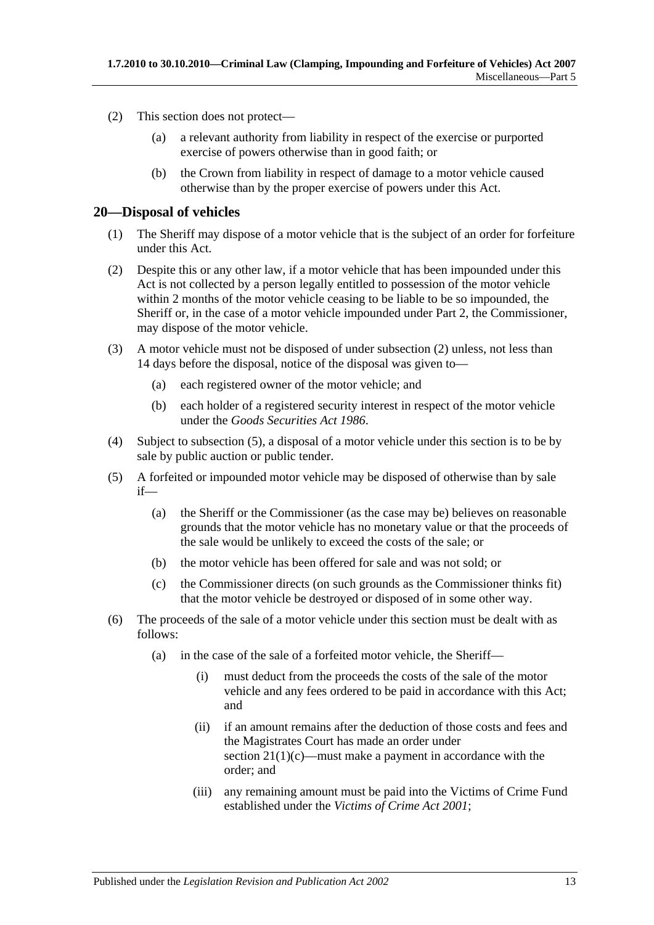- <span id="page-12-1"></span>(2) This section does not protect—
	- (a) a relevant authority from liability in respect of the exercise or purported exercise of powers otherwise than in good faith; or
	- (b) the Crown from liability in respect of damage to a motor vehicle caused otherwise than by the proper exercise of powers under this Act.

### <span id="page-12-0"></span>**20—Disposal of vehicles**

- (1) The Sheriff may dispose of a motor vehicle that is the subject of an order for forfeiture under this Act.
- <span id="page-12-2"></span>(2) Despite this or any other law, if a motor vehicle that has been impounded under this Act is not collected by a person legally entitled to possession of the motor vehicle within 2 months of the motor vehicle ceasing to be liable to be so impounded, the Sheriff or, in the case of a motor vehicle impounded under [Part 2,](#page-2-1) the Commissioner, may dispose of the motor vehicle.
- (3) A motor vehicle must not be disposed of under [subsection](#page-12-2) (2) unless, not less than 14 days before the disposal, notice of the disposal was given to—
	- (a) each registered owner of the motor vehicle; and
	- (b) each holder of a registered security interest in respect of the motor vehicle under the *[Goods Securities Act](http://www.legislation.sa.gov.au/index.aspx?action=legref&type=act&legtitle=Goods%20Securities%20Act%201986) 1986*.
- (4) Subject to [subsection](#page-12-3) (5), a disposal of a motor vehicle under this section is to be by sale by public auction or public tender.
- <span id="page-12-3"></span>(5) A forfeited or impounded motor vehicle may be disposed of otherwise than by sale if—
	- (a) the Sheriff or the Commissioner (as the case may be) believes on reasonable grounds that the motor vehicle has no monetary value or that the proceeds of the sale would be unlikely to exceed the costs of the sale; or
	- (b) the motor vehicle has been offered for sale and was not sold; or
	- (c) the Commissioner directs (on such grounds as the Commissioner thinks fit) that the motor vehicle be destroyed or disposed of in some other way.
- <span id="page-12-4"></span>(6) The proceeds of the sale of a motor vehicle under this section must be dealt with as follows:
	- (a) in the case of the sale of a forfeited motor vehicle, the Sheriff—
		- (i) must deduct from the proceeds the costs of the sale of the motor vehicle and any fees ordered to be paid in accordance with this Act; and
		- (ii) if an amount remains after the deduction of those costs and fees and the Magistrates Court has made an order under section  $21(1)(c)$ —must make a payment in accordance with the order; and
		- (iii) any remaining amount must be paid into the Victims of Crime Fund established under the *[Victims of Crime Act](http://www.legislation.sa.gov.au/index.aspx?action=legref&type=act&legtitle=Victims%20of%20Crime%20Act%202001) 2001*;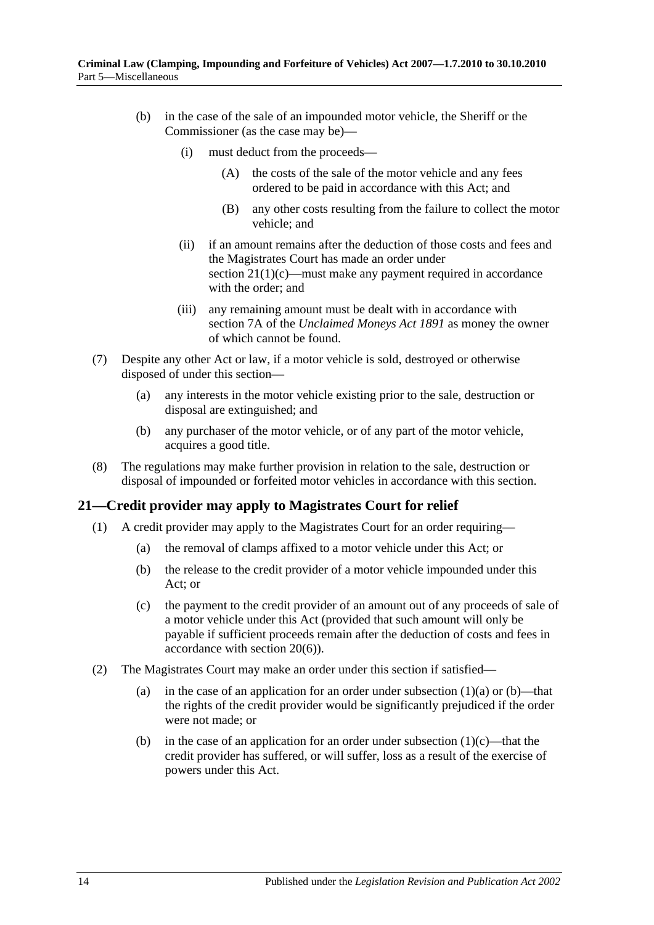- (b) in the case of the sale of an impounded motor vehicle, the Sheriff or the Commissioner (as the case may be)—
	- (i) must deduct from the proceeds—
		- (A) the costs of the sale of the motor vehicle and any fees ordered to be paid in accordance with this Act; and
		- (B) any other costs resulting from the failure to collect the motor vehicle; and
	- (ii) if an amount remains after the deduction of those costs and fees and the Magistrates Court has made an order under section  $21(1)(c)$ —must make any payment required in accordance with the order; and
	- (iii) any remaining amount must be dealt with in accordance with section 7A of the *[Unclaimed Moneys Act](http://www.legislation.sa.gov.au/index.aspx?action=legref&type=act&legtitle=Unclaimed%20Moneys%20Act%201891) 1891* as money the owner of which cannot be found.
- (7) Despite any other Act or law, if a motor vehicle is sold, destroyed or otherwise disposed of under this section—
	- (a) any interests in the motor vehicle existing prior to the sale, destruction or disposal are extinguished; and
	- (b) any purchaser of the motor vehicle, or of any part of the motor vehicle, acquires a good title.
- (8) The regulations may make further provision in relation to the sale, destruction or disposal of impounded or forfeited motor vehicles in accordance with this section.

### <span id="page-13-0"></span>**21—Credit provider may apply to Magistrates Court for relief**

- <span id="page-13-3"></span><span id="page-13-2"></span><span id="page-13-1"></span>(1) A credit provider may apply to the Magistrates Court for an order requiring—
	- (a) the removal of clamps affixed to a motor vehicle under this Act; or
	- (b) the release to the credit provider of a motor vehicle impounded under this Act; or
	- (c) the payment to the credit provider of an amount out of any proceeds of sale of a motor vehicle under this Act (provided that such amount will only be payable if sufficient proceeds remain after the deduction of costs and fees in accordance with [section](#page-12-4) 20(6)).
- (2) The Magistrates Court may make an order under this section if satisfied
	- (a) in the case of an application for an order under [subsection](#page-13-2)  $(1)(a)$  or  $(b)$ —that the rights of the credit provider would be significantly prejudiced if the order were not made; or
	- (b) in the case of an application for an order under [subsection](#page-13-1)  $(1)(c)$ —that the credit provider has suffered, or will suffer, loss as a result of the exercise of powers under this Act.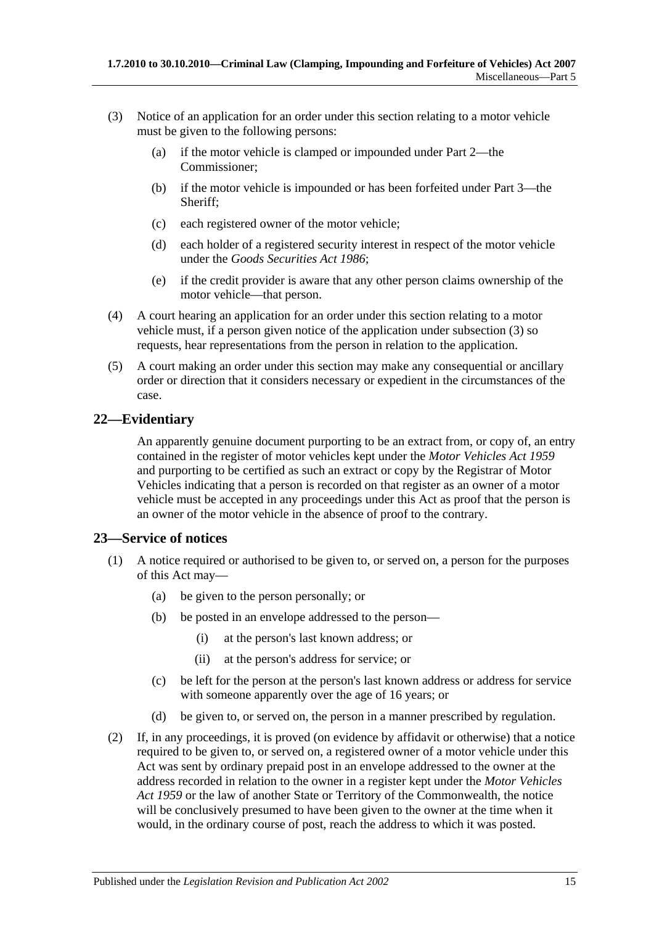- <span id="page-14-2"></span>(3) Notice of an application for an order under this section relating to a motor vehicle must be given to the following persons:
	- (a) if the motor vehicle is clamped or impounded under [Part 2—](#page-2-1)the Commissioner;
	- (b) if the motor vehicle is impounded or has been forfeited under [Part 3—](#page-5-1)the Sheriff;
	- (c) each registered owner of the motor vehicle;
	- (d) each holder of a registered security interest in respect of the motor vehicle under the *[Goods Securities Act](http://www.legislation.sa.gov.au/index.aspx?action=legref&type=act&legtitle=Goods%20Securities%20Act%201986) 1986*;
	- (e) if the credit provider is aware that any other person claims ownership of the motor vehicle—that person.
- (4) A court hearing an application for an order under this section relating to a motor vehicle must, if a person given notice of the application under [subsection](#page-14-2) (3) so requests, hear representations from the person in relation to the application.
- (5) A court making an order under this section may make any consequential or ancillary order or direction that it considers necessary or expedient in the circumstances of the case.

### <span id="page-14-0"></span>**22—Evidentiary**

An apparently genuine document purporting to be an extract from, or copy of, an entry contained in the register of motor vehicles kept under the *[Motor Vehicles Act](http://www.legislation.sa.gov.au/index.aspx?action=legref&type=act&legtitle=Motor%20Vehicles%20Act%201959) 1959* and purporting to be certified as such an extract or copy by the Registrar of Motor Vehicles indicating that a person is recorded on that register as an owner of a motor vehicle must be accepted in any proceedings under this Act as proof that the person is an owner of the motor vehicle in the absence of proof to the contrary.

### <span id="page-14-1"></span>**23—Service of notices**

- (1) A notice required or authorised to be given to, or served on, a person for the purposes of this Act may—
	- (a) be given to the person personally; or
	- (b) be posted in an envelope addressed to the person—
		- (i) at the person's last known address; or
		- (ii) at the person's address for service; or
	- (c) be left for the person at the person's last known address or address for service with someone apparently over the age of 16 years; or
	- (d) be given to, or served on, the person in a manner prescribed by regulation.
- (2) If, in any proceedings, it is proved (on evidence by affidavit or otherwise) that a notice required to be given to, or served on, a registered owner of a motor vehicle under this Act was sent by ordinary prepaid post in an envelope addressed to the owner at the address recorded in relation to the owner in a register kept under the *[Motor Vehicles](http://www.legislation.sa.gov.au/index.aspx?action=legref&type=act&legtitle=Motor%20Vehicles%20Act%201959)  Act [1959](http://www.legislation.sa.gov.au/index.aspx?action=legref&type=act&legtitle=Motor%20Vehicles%20Act%201959)* or the law of another State or Territory of the Commonwealth, the notice will be conclusively presumed to have been given to the owner at the time when it would, in the ordinary course of post, reach the address to which it was posted.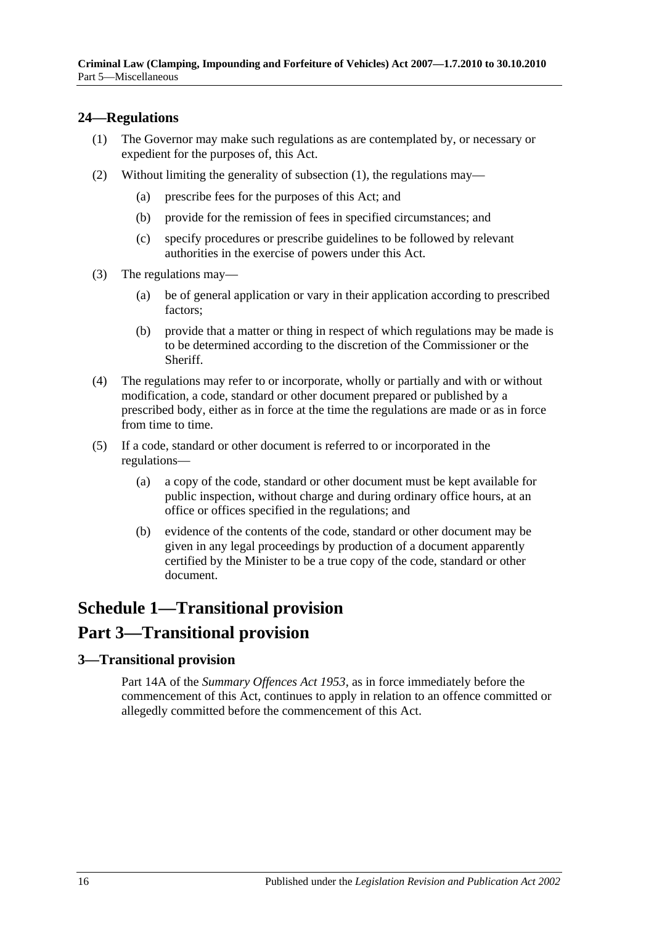### <span id="page-15-3"></span><span id="page-15-0"></span>**24—Regulations**

- (1) The Governor may make such regulations as are contemplated by, or necessary or expedient for the purposes of, this Act.
- (2) Without limiting the generality of [subsection](#page-15-3) (1), the regulations may—
	- (a) prescribe fees for the purposes of this Act; and
	- (b) provide for the remission of fees in specified circumstances; and
	- (c) specify procedures or prescribe guidelines to be followed by relevant authorities in the exercise of powers under this Act.
- (3) The regulations may—
	- (a) be of general application or vary in their application according to prescribed factors;
	- (b) provide that a matter or thing in respect of which regulations may be made is to be determined according to the discretion of the Commissioner or the **Sheriff**
- (4) The regulations may refer to or incorporate, wholly or partially and with or without modification, a code, standard or other document prepared or published by a prescribed body, either as in force at the time the regulations are made or as in force from time to time.
- (5) If a code, standard or other document is referred to or incorporated in the regulations—
	- (a) a copy of the code, standard or other document must be kept available for public inspection, without charge and during ordinary office hours, at an office or offices specified in the regulations; and
	- (b) evidence of the contents of the code, standard or other document may be given in any legal proceedings by production of a document apparently certified by the Minister to be a true copy of the code, standard or other document.

## <span id="page-15-1"></span>**Schedule 1—Transitional provision Part 3—Transitional provision**

### <span id="page-15-2"></span>**3—Transitional provision**

Part 14A of the *[Summary Offences Act](http://www.legislation.sa.gov.au/index.aspx?action=legref&type=act&legtitle=Summary%20Offences%20Act%201953) 1953*, as in force immediately before the commencement of this Act, continues to apply in relation to an offence committed or allegedly committed before the commencement of this Act.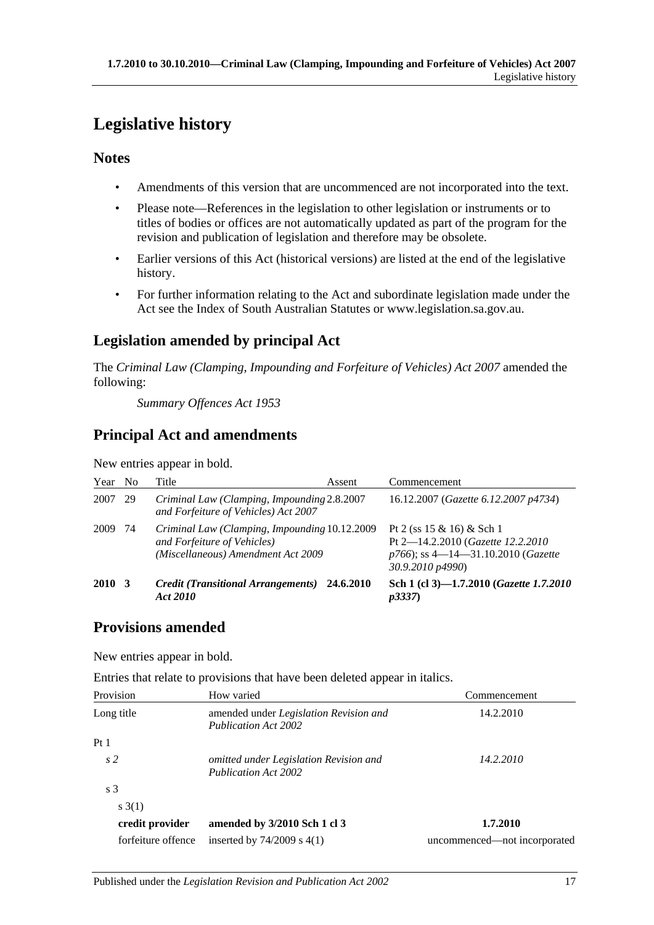## <span id="page-16-0"></span>**Legislative history**

### **Notes**

- Amendments of this version that are uncommenced are not incorporated into the text.
- Please note—References in the legislation to other legislation or instruments or to titles of bodies or offices are not automatically updated as part of the program for the revision and publication of legislation and therefore may be obsolete.
- Earlier versions of this Act (historical versions) are listed at the end of the legislative history.
- For further information relating to the Act and subordinate legislation made under the Act see the Index of South Australian Statutes or www.legislation.sa.gov.au.

### **Legislation amended by principal Act**

The *Criminal Law (Clamping, Impounding and Forfeiture of Vehicles) Act 2007* amended the following:

*Summary Offences Act 1953*

### **Principal Act and amendments**

New entries appear in bold.

| Year        | N <sub>0</sub> | Title                                                                                                              | Assent | Commencement                                                                                                                    |
|-------------|----------------|--------------------------------------------------------------------------------------------------------------------|--------|---------------------------------------------------------------------------------------------------------------------------------|
| 2007        | 29             | Criminal Law (Clamping, Impounding 2.8.2007<br>and Forfeiture of Vehicles) Act 2007                                |        | 16.12.2007 ( <i>Gazette 6.12.2007 p4734</i> )                                                                                   |
| 2009        | 74             | Criminal Law (Clamping, Impounding 10.12.2009<br>and Forfeiture of Vehicles)<br>(Miscellaneous) Amendment Act 2009 |        | Pt 2 (ss $15 \& 16$ ) & Sch 1<br>Pt 2-14.2.2010 (Gazette 12.2.2010)<br>$p766$ ; ss 4—14—31.10.2010 (Gazette<br>30.9.2010 p4990) |
| <b>2010</b> |                | Credit (Transitional Arrangements) 24.6.2010<br>Act 2010                                                           |        | Sch 1 (cl 3)-1.7.2010 (Gazette 1.7.2010<br><i>p</i> 3337)                                                                       |

### **Provisions amended**

New entries appear in bold.

Entries that relate to provisions that have been deleted appear in italics.

| Provision          | How varied                                                                   | Commencement<br>14.2.2010    |  |
|--------------------|------------------------------------------------------------------------------|------------------------------|--|
| Long title         | amended under <i>Legislation Revision and</i><br><b>Publication Act 2002</b> |                              |  |
| Pt1                |                                                                              |                              |  |
| s <sub>2</sub>     | omitted under Legislation Revision and<br><b>Publication Act 2002</b>        | 14.2.2010                    |  |
| s <sub>3</sub>     |                                                                              |                              |  |
| s(1)               |                                                                              |                              |  |
| credit provider    | amended by 3/2010 Sch 1 cl 3                                                 | 1.7.2010                     |  |
| forfeiture offence | inserted by $74/2009$ s $4(1)$                                               | uncommenced—not incorporated |  |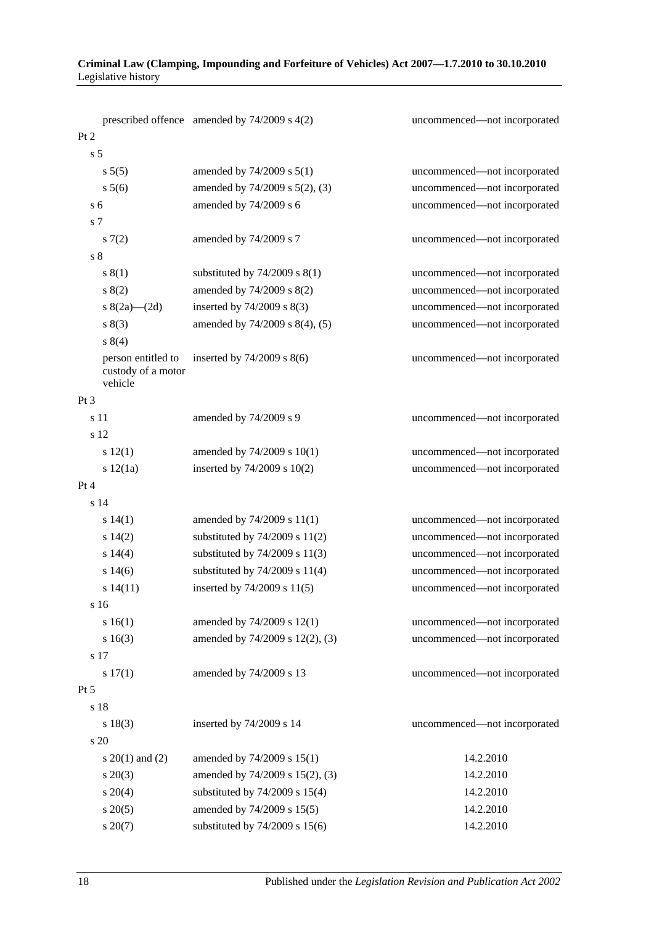| Criminal Law (Clamping, Impounding and Forfeiture of Vehicles) Act 2007—1.7.2010 to 30.10.2010 |  |
|------------------------------------------------------------------------------------------------|--|
| Legislative history                                                                            |  |

|                                                     | prescribed offence amended by 74/2009 s 4(2) | uncommenced-not incorporated |
|-----------------------------------------------------|----------------------------------------------|------------------------------|
| Pt 2                                                |                                              |                              |
| s <sub>5</sub>                                      |                                              |                              |
| s 5(5)                                              | amended by $74/2009$ s $5(1)$                | uncommenced-not incorporated |
| $s\,5(6)$                                           | amended by 74/2009 s 5(2), (3)               | uncommenced-not incorporated |
| s <sub>6</sub>                                      | amended by 74/2009 s 6                       | uncommenced-not incorporated |
| s 7                                                 |                                              |                              |
| 57(2)                                               | amended by 74/2009 s 7                       | uncommenced-not incorporated |
| $\sqrt{s}$ 8                                        |                                              |                              |
| s(1)                                                | substituted by $74/2009$ s $8(1)$            | uncommenced-not incorporated |
| 8(2)                                                | amended by 74/2009 s 8(2)                    | uncommenced-not incorporated |
| s $8(2a)$ — $(2d)$                                  | inserted by 74/2009 s 8(3)                   | uncommenced-not incorporated |
| s(3)                                                | amended by 74/2009 s 8(4), (5)               | uncommenced-not incorporated |
| s(4)                                                |                                              |                              |
| person entitled to<br>custody of a motor<br>vehicle | inserted by $74/2009$ s $8(6)$               | uncommenced-not incorporated |
| Pt <sub>3</sub>                                     |                                              |                              |
| s 11                                                | amended by 74/2009 s 9                       | uncommenced-not incorporated |
| s 12                                                |                                              |                              |
| s 12(1)                                             | amended by $74/2009$ s $10(1)$               | uncommenced-not incorporated |
| s 12(1a)                                            | inserted by 74/2009 s 10(2)                  | uncommenced-not incorporated |
| Pt 4                                                |                                              |                              |
| s 14                                                |                                              |                              |
| s 14(1)                                             | amended by $74/2009$ s $11(1)$               | uncommenced-not incorporated |
| $s\ 14(2)$                                          | substituted by $74/2009$ s $11(2)$           | uncommenced-not incorporated |
| s 14(4)                                             | substituted by 74/2009 s 11(3)               | uncommenced-not incorporated |
| s 14(6)                                             | substituted by $74/2009$ s $11(4)$           | uncommenced-not incorporated |
| s 14(11)                                            | inserted by 74/2009 s 11(5)                  | uncommenced-not incorporated |
| s 16                                                |                                              |                              |
| s 16(1)                                             | amended by 74/2009 s 12(1)                   | uncommenced-not incorporated |
| s 16(3)                                             | amended by 74/2009 s 12(2), (3)              | uncommenced-not incorporated |
| s 17                                                |                                              |                              |
| s 17(1)                                             | amended by 74/2009 s 13                      | uncommenced-not incorporated |
| Pt 5                                                |                                              |                              |
| s 18                                                |                                              |                              |
| s 18(3)                                             | inserted by 74/2009 s 14                     | uncommenced-not incorporated |
| s 20                                                |                                              |                              |
| s $20(1)$ and $(2)$                                 | amended by 74/2009 s 15(1)                   | 14.2.2010                    |
| $s \ 20(3)$                                         | amended by 74/2009 s 15(2), (3)              | 14.2.2010                    |
| $s \ 20(4)$                                         | substituted by 74/2009 s 15(4)               | 14.2.2010                    |
| $s \ 20(5)$                                         | amended by 74/2009 s 15(5)                   | 14.2.2010                    |
| $s \ 20(7)$                                         | substituted by 74/2009 s 15(6)               | 14.2.2010                    |